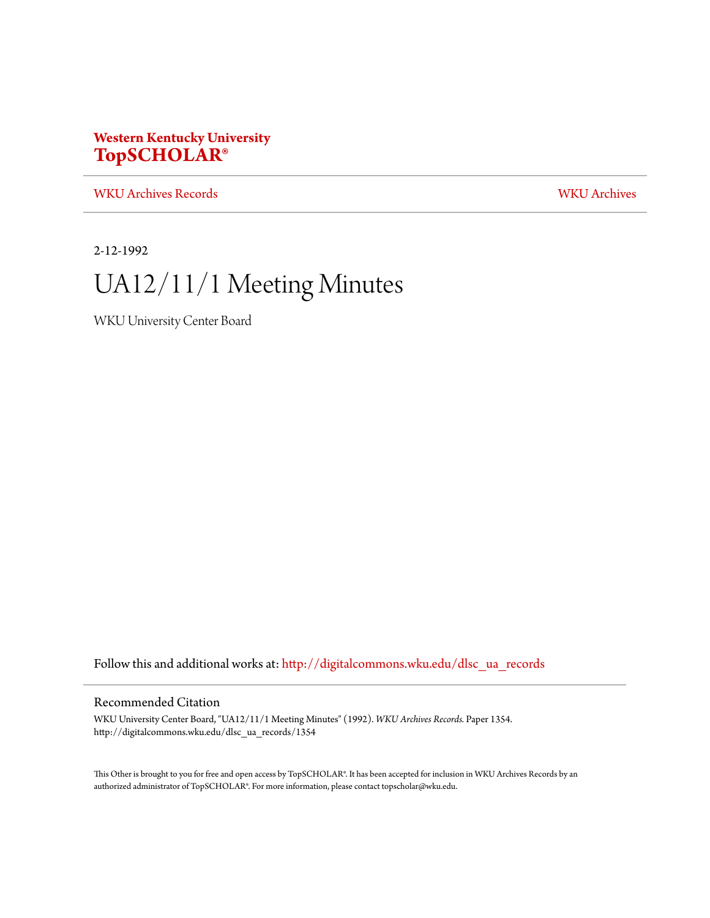### **Western Kentucky University [TopSCHOLAR®](http://digitalcommons.wku.edu?utm_source=digitalcommons.wku.edu%2Fdlsc_ua_records%2F1354&utm_medium=PDF&utm_campaign=PDFCoverPages)**

[WKU Archives Records](http://digitalcommons.wku.edu/dlsc_ua_records?utm_source=digitalcommons.wku.edu%2Fdlsc_ua_records%2F1354&utm_medium=PDF&utm_campaign=PDFCoverPages) [WKU Archives](http://digitalcommons.wku.edu/dlsc_ua?utm_source=digitalcommons.wku.edu%2Fdlsc_ua_records%2F1354&utm_medium=PDF&utm_campaign=PDFCoverPages)

2-12-1992

# UA12/11/1 Meeting Minutes

WKU University Center Board

Follow this and additional works at: [http://digitalcommons.wku.edu/dlsc\\_ua\\_records](http://digitalcommons.wku.edu/dlsc_ua_records?utm_source=digitalcommons.wku.edu%2Fdlsc_ua_records%2F1354&utm_medium=PDF&utm_campaign=PDFCoverPages)

#### Recommended Citation

WKU University Center Board, "UA12/11/1 Meeting Minutes" (1992). *WKU Archives Records.* Paper 1354. http://digitalcommons.wku.edu/dlsc\_ua\_records/1354

This Other is brought to you for free and open access by TopSCHOLAR®. It has been accepted for inclusion in WKU Archives Records by an authorized administrator of TopSCHOLAR®. For more information, please contact topscholar@wku.edu.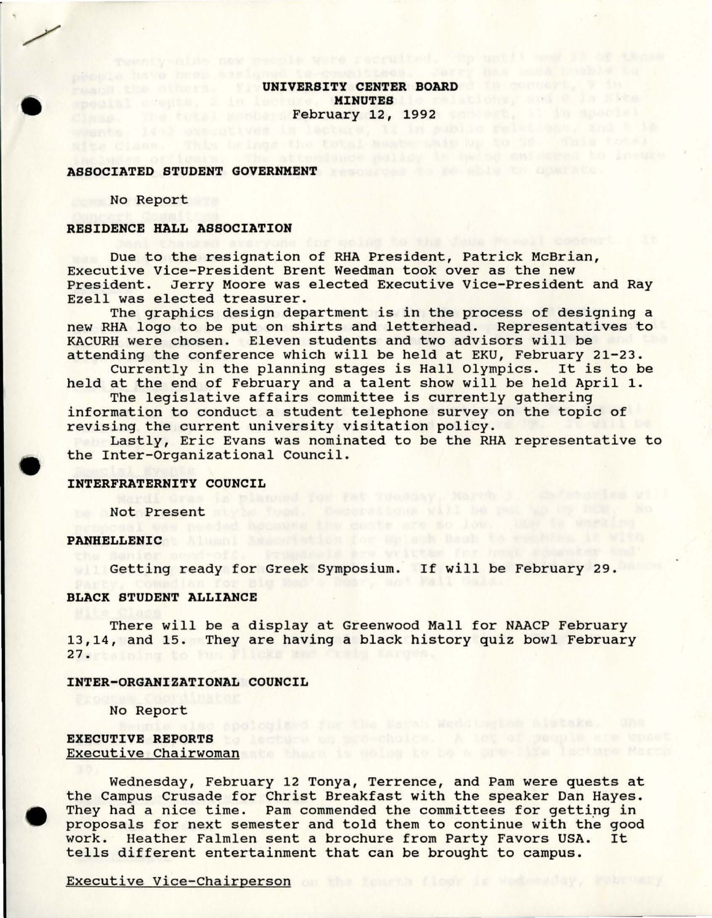**UNIVERSITY CENTER BOARD OF BUILDING CALLER** special adents, 2 in lockure. MINUTES it relations, and 6 in Kits Clase the tutal members February 12, 1992 convert, it in spacial

### **ASSOCIATED STUDENT GOVERNMENT**

No Report

•

#### **RESIDENCE HALL ASSOCIATION**

Due to the resignation of RHA President, Patrick McBrian, Executive Vice-President Brent Weedman took over as the new President. Jerry Moore was elected Executive Vice-President and Ray Ezell was elected treasurer.

The graphics design department is in the process of designing a new RHA logo to be put on shirts and letterhead. Representatives to KACURH were chosen. Eleven students and two advisors will be attending the conference which will be held at EKU, February 21-23.

Currently in the planning stages is Hall Olympics. It is to be held at the end of February and a talent show will be held April 1.

The legislative affairs committee is currently gathering information to conduct a student telephone survey on the topic of revising the current university visitation policy.

• Lastly, Eric Evans was nominated to be the RHA representative to the Inter-Organizational Council.

# **INTERFRATERNITY COUNCIL**<br>Wardi Gras is planned for the Tuesday, Narra and Concern in the Will

be A**Not Present** Rtyle food. Coorations will be part of the those in the

## PANHELLENIC Alumni added with for mplach hash to encourage in with

Getting ready for Greek Symposium. If will be February 29.

#### **BLACK STUDENT ALLIANCE**

There will be a display at Greenwood Mall for NAACP February 13,14, and 15. They are having a black history quiz bowl February 27. The month to line

#### **INTER-ORGANIZATIONAL COUNCIL**

No Report

### **EXECUTIVE REPORTS** to letter an end-choice. A lot of people are upont Executive Chairwoman at the state of the base of the last was March

 $\begin{array}{c}\n\bullet \\
\bullet \\
\bullet \\
\bullet \\
\bullet \\
\bullet \\
\bullet\n\end{array}$ Wednesday, February 12 Tonya, Terrence, and Pam were quests at the Campus Crusade for Christ Breakfast with the speaker Dan Hayes. They had a nice time. Pam commended the committees for getting in proposals for next semester and told them to continue with the good work. Heather Falmlen sent a brochure from Party Favors USA. It work. Heather Falmlen sent a brochure from Party Favors USA. tells different entertainment that can be brought to campus.

Executive Vice-Chairperson and the chair control of the chair control of the chair control of the chair control of the chairperson and the chairperson of the chairperson of the chairperson of the chairperson of the chairpe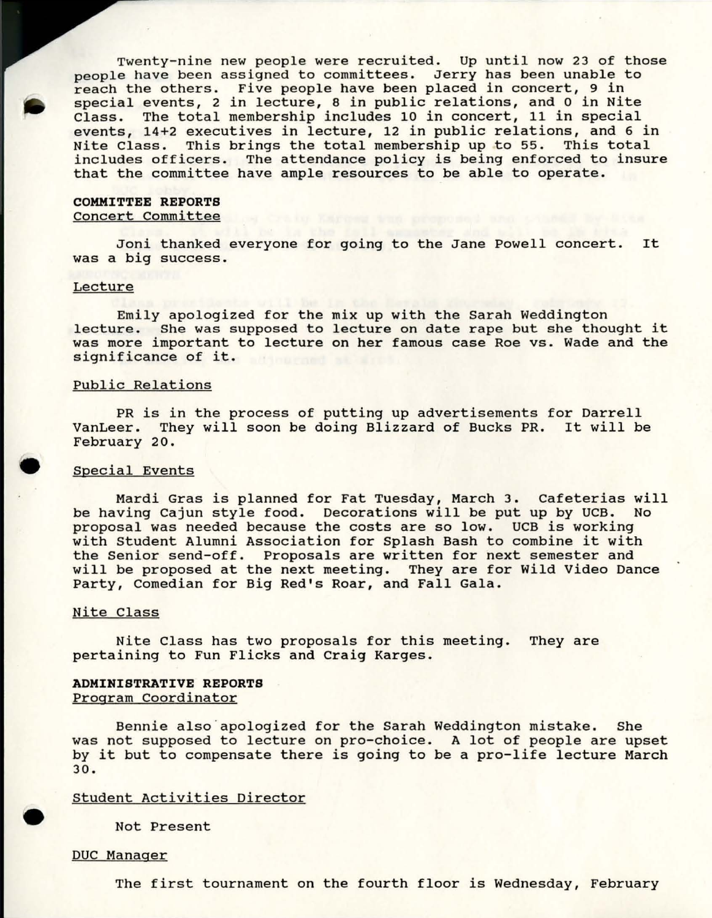Twenty-nine new people were recruited. Up until now 23 of those people have been assigned to committees. Jerry has been unable to reach the others. Five people have been placed in concert, 9 in special events, 2 in lecture, 8 in public relations, and 0 in Nite<br>Class. The total membership includes 10 in concert, 11 in special The total membership includes 10 in concert, 11 in special events, 14+2 executives in lecture, 12 in public relations, and 6 in Nite Class. This brings the total membership up to 55. This total includes officers. The attendance policy is being enforced to insure that the committee have ample resources to be able to operate.

#### **COMMITTEE REPORTS**  Concert Committee

Joni thanked everyone for going to the Jane Powell concert. It was a big success.

#### Lecture

Emily apologized for the mix up with the Sarah Weddington lecture. She was supposed to lecture on date rape but she thought it was more important to lecture on her famous case Roe vs. Wade and the significance of it.

#### Public Relations

PR is in the process of putting up advertisements for Darrell VanLeer. They will soon be doing Blizzard of Bucks PR. It will be February 20.

#### Special Events

•

•

Mardi Gras is planned for Fat Tuesday, March 3. Cafeterias will be having Cajun style food. Decorations will be put up by UCB. No proposal was needed because the costs are so low. UCB is working with Student Alumni Association for Splash Bash to combine it with the Senior send-off. Proposals are written for next semester and will be proposed at the next meeting. They are for wild Video Dance Party, Comedian for Big Red's Roar, and Fall Gala.

#### Nite Class

Nite Class has two proposals for this meeting. They are pertaining to Fun Flicks and craig Karges.

#### **ADMINISTRATIVE REPORTS**  Program Coordinator

Bennie also "apologized for the Sarah Weddington mistake. She was not supposed to lecture on pro-choice. A lot of people are upset by it but to compensate there is going to be a pro-life lecture March 30.

#### Student Activities Director

Not Present

#### DUC Manager

The first tournament on the fourth floor is Wednesday, February